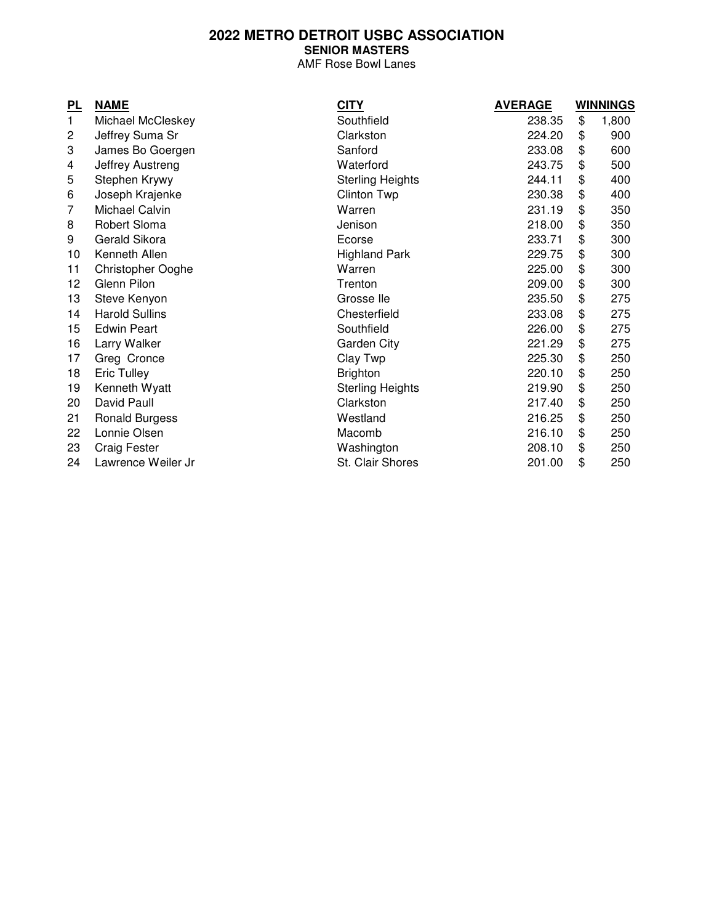## **2022 METRO DETROIT USBC ASSOCIATION SENIOR MASTERS**

AMF Rose Bowl Lanes

| <u>PL</u>      | <b>NAME</b>              | <b>CITY</b>             | <b>AVERAGE</b> | <b>WINNINGS</b> |       |
|----------------|--------------------------|-------------------------|----------------|-----------------|-------|
| $\mathbf{1}$   | Michael McCleskey        | Southfield              | 238.35         | \$              | 1,800 |
| $\overline{c}$ | Jeffrey Suma Sr          | Clarkston               | 224.20         | \$              | 900   |
| 3              | James Bo Goergen         | Sanford                 | 233.08         | \$              | 600   |
| 4              | Jeffrey Austreng         | Waterford               | 243.75         | \$              | 500   |
| 5              | Stephen Krywy            | <b>Sterling Heights</b> | 244.11         | \$              | 400   |
| 6              | Joseph Krajenke          | <b>Clinton Twp</b>      | 230.38         | \$              | 400   |
| 7              | Michael Calvin           | Warren                  | 231.19         | \$              | 350   |
| 8              | Robert Sloma             | Jenison                 | 218.00         | \$              | 350   |
| 9              | Gerald Sikora            | Ecorse                  | 233.71         | \$              | 300   |
| 10             | Kenneth Allen            | <b>Highland Park</b>    | 229.75         | \$              | 300   |
| 11             | <b>Christopher Ooghe</b> | Warren                  | 225.00         | \$              | 300   |
| 12             | Glenn Pilon              | Trenton                 | 209.00         | \$              | 300   |
| 13             | Steve Kenyon             | Grosse lle              | 235.50         | \$              | 275   |
| 14             | <b>Harold Sullins</b>    | Chesterfield            | 233.08         | \$              | 275   |
| 15             | <b>Edwin Peart</b>       | Southfield              | 226.00         | \$              | 275   |
| 16             | Larry Walker             | Garden City             | 221.29         | \$              | 275   |
| 17             | Greg Cronce              | Clay Twp                | 225.30         | \$              | 250   |
| 18             | Eric Tulley              | <b>Brighton</b>         | 220.10         | \$              | 250   |
| 19             | Kenneth Wyatt            | <b>Sterling Heights</b> | 219.90         | \$              | 250   |
| 20             | David Paull              | Clarkston               | 217.40         | \$              | 250   |
| 21             | <b>Ronald Burgess</b>    | Westland                | 216.25         | \$              | 250   |
| 22             | Lonnie Olsen             | Macomb                  | 216.10         | \$              | 250   |
| 23             | <b>Craig Fester</b>      | Washington              | 208.10         | \$              | 250   |
| 24             | Lawrence Weiler Jr       | St. Clair Shores        | 201.00         | \$              | 250   |